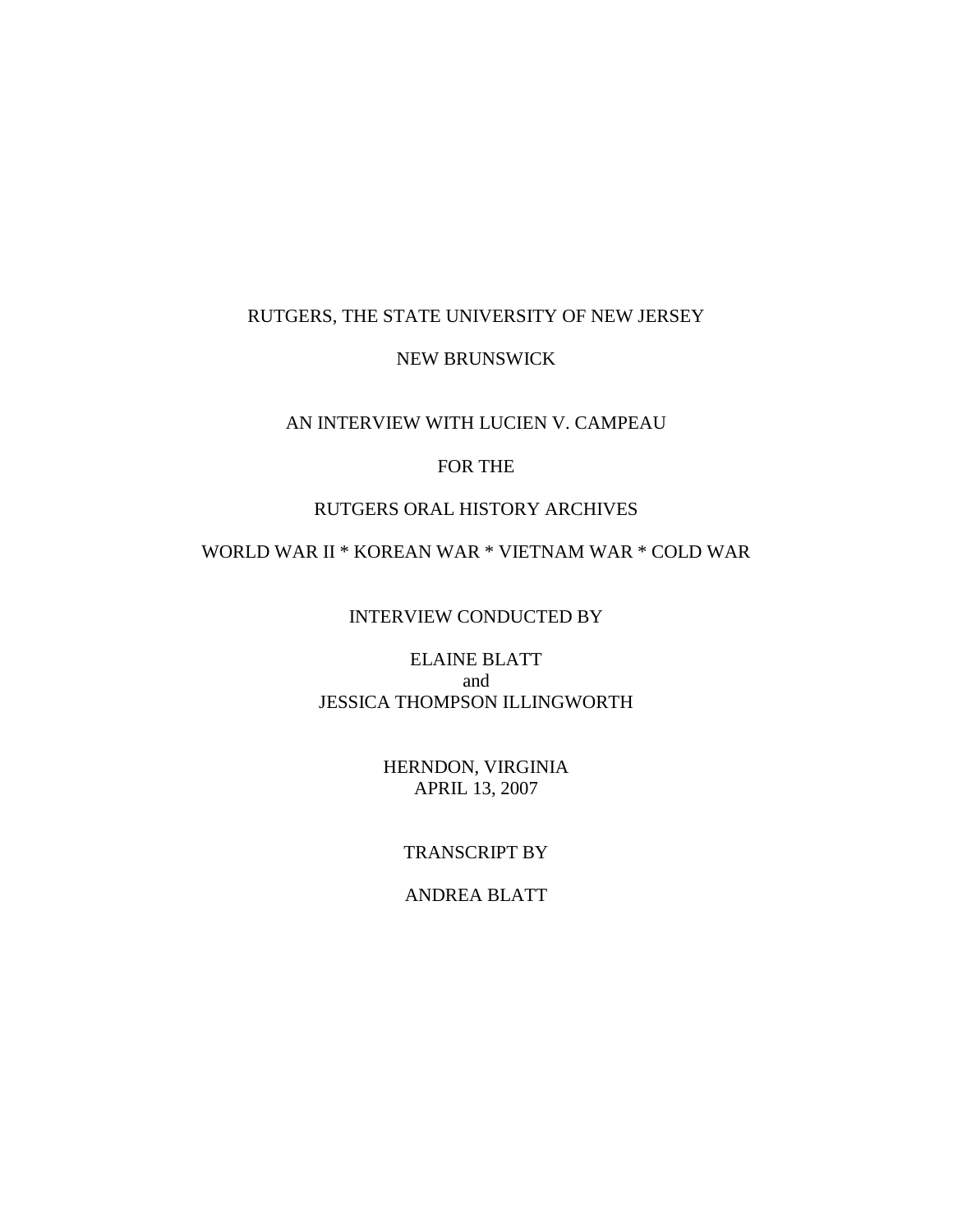## RUTGERS, THE STATE UNIVERSITY OF NEW JERSEY

## NEW BRUNSWICK

## AN INTERVIEW WITH LUCIEN V. CAMPEAU

## FOR THE

## RUTGERS ORAL HISTORY ARCHIVES

# WORLD WAR II \* KOREAN WAR \* VIETNAM WAR \* COLD WAR

## INTERVIEW CONDUCTED BY

## ELAINE BLATT and JESSICA THOMPSON ILLINGWORTH

## HERNDON, VIRGINIA APRIL 13, 2007

## TRANSCRIPT BY

## ANDREA BLATT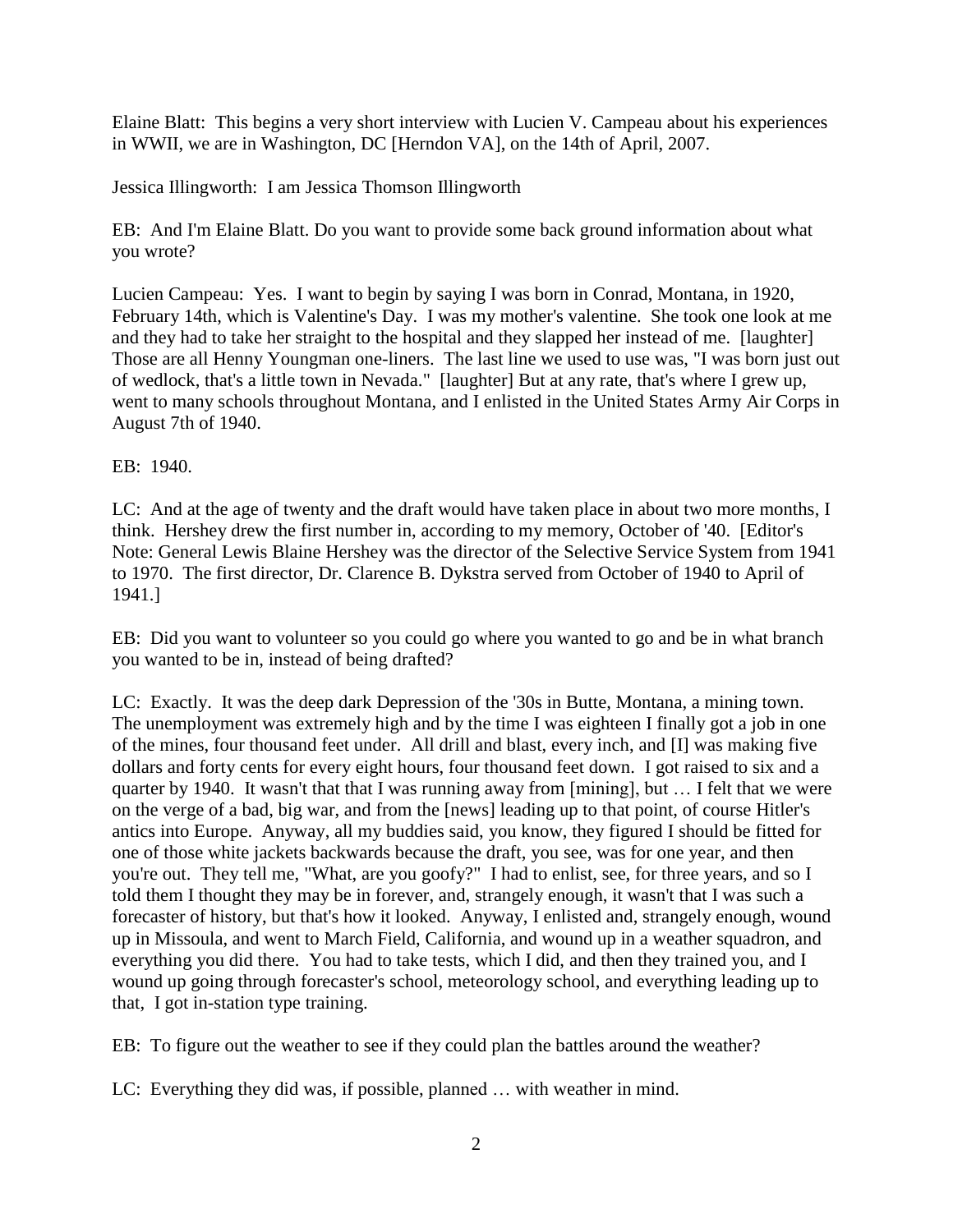Elaine Blatt: This begins a very short interview with Lucien V. Campeau about his experiences in WWII, we are in Washington, DC [Herndon VA], on the 14th of April, 2007.

Jessica Illingworth: I am Jessica Thomson Illingworth

EB: And I'm Elaine Blatt. Do you want to provide some back ground information about what you wrote?

Lucien Campeau: Yes. I want to begin by saying I was born in Conrad, Montana, in 1920, February 14th, which is Valentine's Day. I was my mother's valentine. She took one look at me and they had to take her straight to the hospital and they slapped her instead of me. [laughter] Those are all Henny Youngman one-liners. The last line we used to use was, "I was born just out of wedlock, that's a little town in Nevada." [laughter] But at any rate, that's where I grew up, went to many schools throughout Montana, and I enlisted in the United States Army Air Corps in August 7th of 1940.

EB: 1940.

LC: And at the age of twenty and the draft would have taken place in about two more months, I think. Hershey drew the first number in, according to my memory, October of '40. [Editor's Note: General Lewis Blaine Hershey was the director of the Selective Service System from 1941 to 1970. The first director, Dr. Clarence B. Dykstra served from October of 1940 to April of 1941.]

EB: Did you want to volunteer so you could go where you wanted to go and be in what branch you wanted to be in, instead of being drafted?

LC: Exactly. It was the deep dark Depression of the '30s in Butte, Montana, a mining town. The unemployment was extremely high and by the time I was eighteen I finally got a job in one of the mines, four thousand feet under. All drill and blast, every inch, and [I] was making five dollars and forty cents for every eight hours, four thousand feet down. I got raised to six and a quarter by 1940. It wasn't that that I was running away from [mining], but … I felt that we were on the verge of a bad, big war, and from the [news] leading up to that point, of course Hitler's antics into Europe. Anyway, all my buddies said, you know, they figured I should be fitted for one of those white jackets backwards because the draft, you see, was for one year, and then you're out. They tell me, "What, are you goofy?" I had to enlist, see, for three years, and so I told them I thought they may be in forever, and, strangely enough, it wasn't that I was such a forecaster of history, but that's how it looked. Anyway, I enlisted and, strangely enough, wound up in Missoula, and went to March Field, California, and wound up in a weather squadron, and everything you did there. You had to take tests, which I did, and then they trained you, and I wound up going through forecaster's school, meteorology school, and everything leading up to that, I got in-station type training.

EB: To figure out the weather to see if they could plan the battles around the weather?

LC: Everything they did was, if possible, planned … with weather in mind.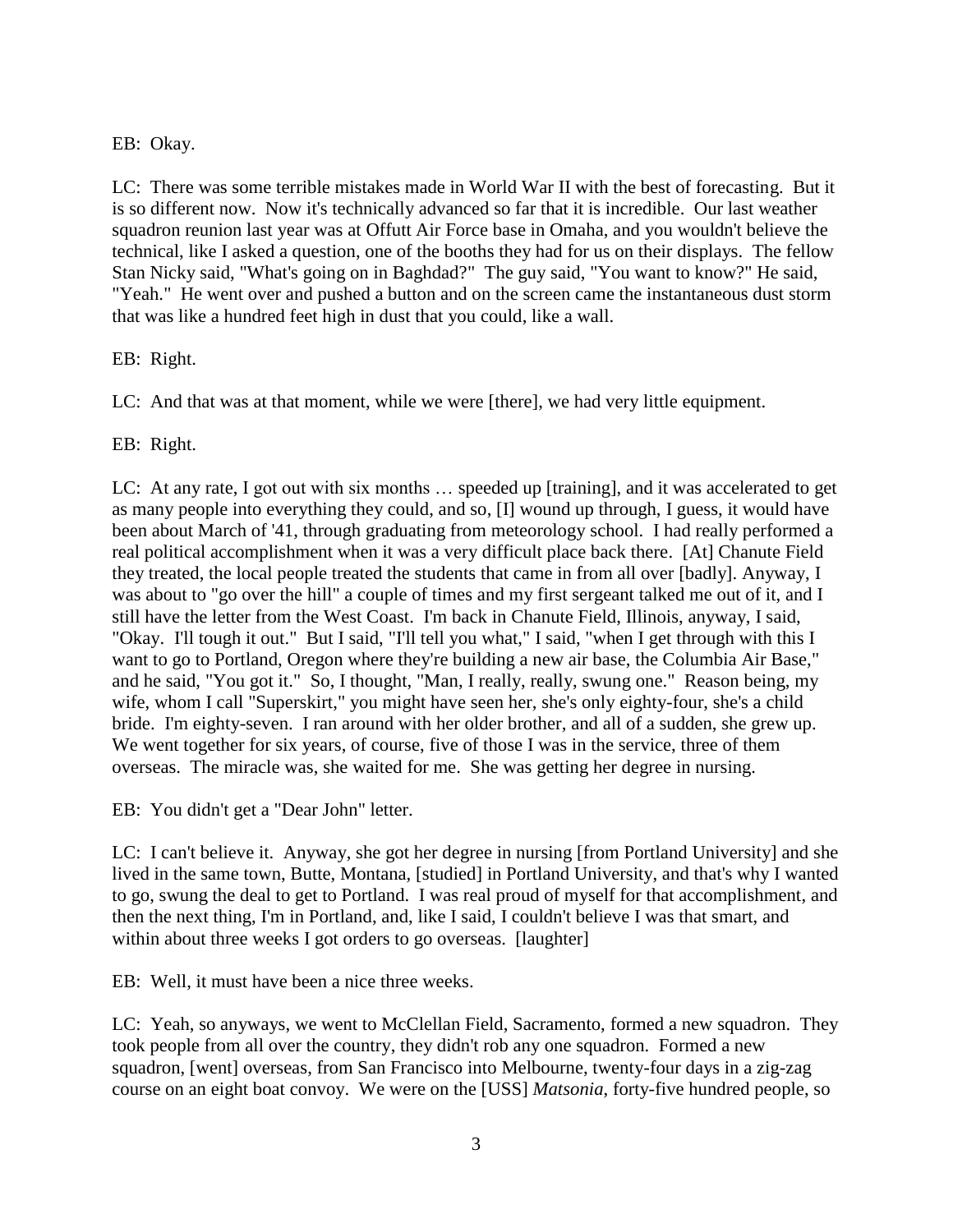## EB: Okay.

LC: There was some terrible mistakes made in World War II with the best of forecasting. But it is so different now. Now it's technically advanced so far that it is incredible. Our last weather squadron reunion last year was at Offutt Air Force base in Omaha, and you wouldn't believe the technical, like I asked a question, one of the booths they had for us on their displays. The fellow Stan Nicky said, "What's going on in Baghdad?" The guy said, "You want to know?" He said, "Yeah." He went over and pushed a button and on the screen came the instantaneous dust storm that was like a hundred feet high in dust that you could, like a wall.

## EB: Right.

LC: And that was at that moment, while we were [there], we had very little equipment.

EB: Right.

LC: At any rate, I got out with six months … speeded up [training], and it was accelerated to get as many people into everything they could, and so, [I] wound up through, I guess, it would have been about March of '41, through graduating from meteorology school. I had really performed a real political accomplishment when it was a very difficult place back there. [At] Chanute Field they treated, the local people treated the students that came in from all over [badly]. Anyway, I was about to "go over the hill" a couple of times and my first sergeant talked me out of it, and I still have the letter from the West Coast. I'm back in Chanute Field, Illinois, anyway, I said, "Okay. I'll tough it out." But I said, "I'll tell you what," I said, "when I get through with this I want to go to Portland, Oregon where they're building a new air base, the Columbia Air Base," and he said, "You got it." So, I thought, "Man, I really, really, swung one." Reason being, my wife, whom I call "Superskirt," you might have seen her, she's only eighty-four, she's a child bride. I'm eighty-seven. I ran around with her older brother, and all of a sudden, she grew up. We went together for six years, of course, five of those I was in the service, three of them overseas. The miracle was, she waited for me. She was getting her degree in nursing.

EB: You didn't get a "Dear John" letter.

LC: I can't believe it. Anyway, she got her degree in nursing [from Portland University] and she lived in the same town, Butte, Montana, [studied] in Portland University, and that's why I wanted to go, swung the deal to get to Portland. I was real proud of myself for that accomplishment, and then the next thing, I'm in Portland, and, like I said, I couldn't believe I was that smart, and within about three weeks I got orders to go overseas. [laughter]

EB: Well, it must have been a nice three weeks.

LC: Yeah, so anyways, we went to McClellan Field, Sacramento, formed a new squadron. They took people from all over the country, they didn't rob any one squadron. Formed a new squadron, [went] overseas, from San Francisco into Melbourne, twenty-four days in a zig-zag course on an eight boat convoy. We were on the [USS] *Matsonia*, forty-five hundred people, so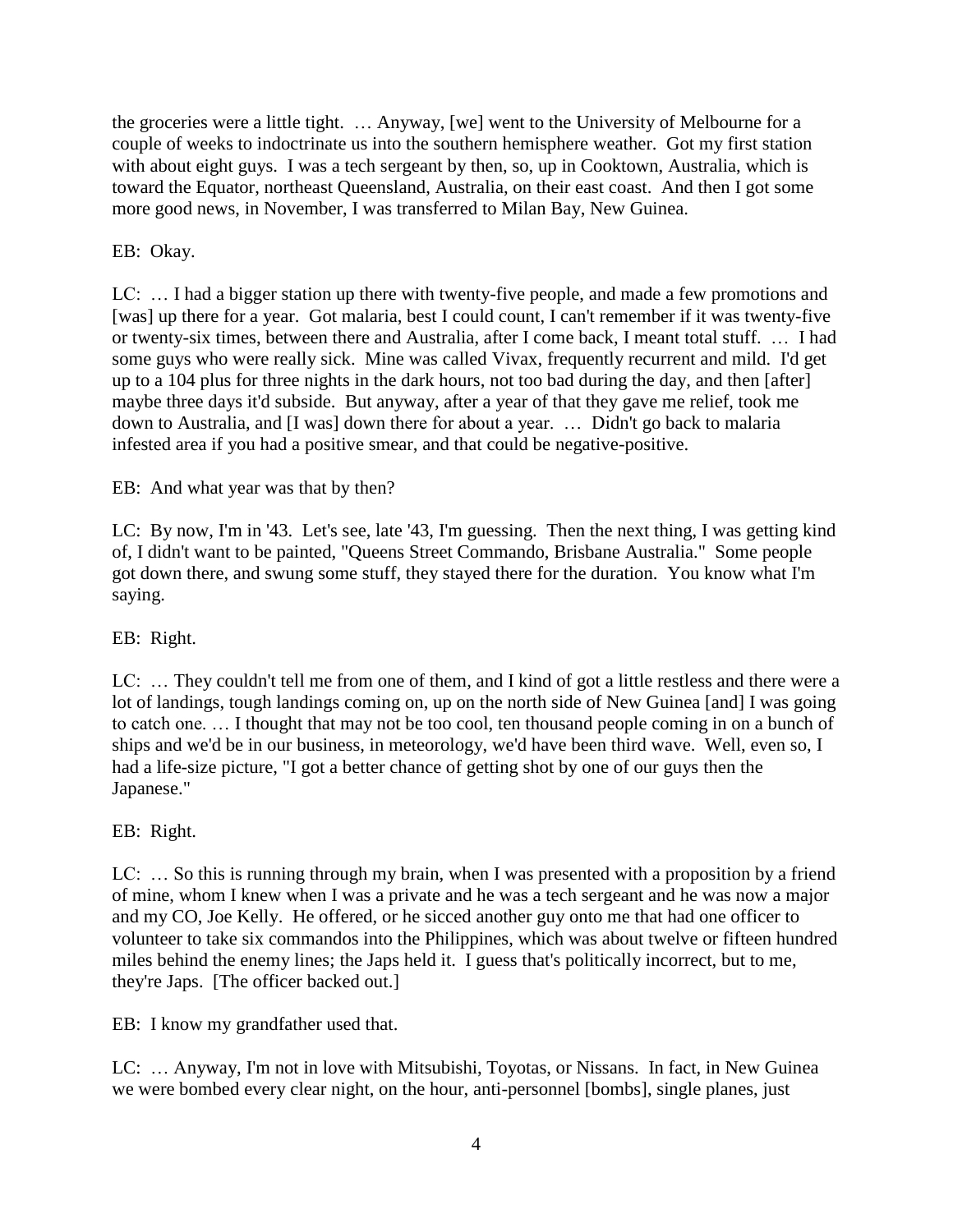the groceries were a little tight. … Anyway, [we] went to the University of Melbourne for a couple of weeks to indoctrinate us into the southern hemisphere weather. Got my first station with about eight guys. I was a tech sergeant by then, so, up in Cooktown, Australia, which is toward the Equator, northeast Queensland, Australia, on their east coast. And then I got some more good news, in November, I was transferred to Milan Bay, New Guinea.

# EB: Okay.

LC: … I had a bigger station up there with twenty-five people, and made a few promotions and [was] up there for a year. Got malaria, best I could count, I can't remember if it was twenty-five or twenty-six times, between there and Australia, after I come back, I meant total stuff. … I had some guys who were really sick. Mine was called Vivax, frequently recurrent and mild. I'd get up to a 104 plus for three nights in the dark hours, not too bad during the day, and then [after] maybe three days it'd subside. But anyway, after a year of that they gave me relief, took me down to Australia, and [I was] down there for about a year. … Didn't go back to malaria infested area if you had a positive smear, and that could be negative-positive.

# EB: And what year was that by then?

LC: By now, I'm in '43. Let's see, late '43, I'm guessing. Then the next thing, I was getting kind of, I didn't want to be painted, "Queens Street Commando, Brisbane Australia." Some people got down there, and swung some stuff, they stayed there for the duration. You know what I'm saying.

## EB: Right.

LC: … They couldn't tell me from one of them, and I kind of got a little restless and there were a lot of landings, tough landings coming on, up on the north side of New Guinea [and] I was going to catch one. … I thought that may not be too cool, ten thousand people coming in on a bunch of ships and we'd be in our business, in meteorology, we'd have been third wave. Well, even so, I had a life-size picture, "I got a better chance of getting shot by one of our guys then the Japanese."

## EB: Right.

LC: … So this is running through my brain, when I was presented with a proposition by a friend of mine, whom I knew when I was a private and he was a tech sergeant and he was now a major and my CO, Joe Kelly. He offered, or he sicced another guy onto me that had one officer to volunteer to take six commandos into the Philippines, which was about twelve or fifteen hundred miles behind the enemy lines; the Japs held it. I guess that's politically incorrect, but to me, they're Japs. [The officer backed out.]

EB: I know my grandfather used that.

LC: … Anyway, I'm not in love with Mitsubishi, Toyotas, or Nissans. In fact, in New Guinea we were bombed every clear night, on the hour, anti-personnel [bombs], single planes, just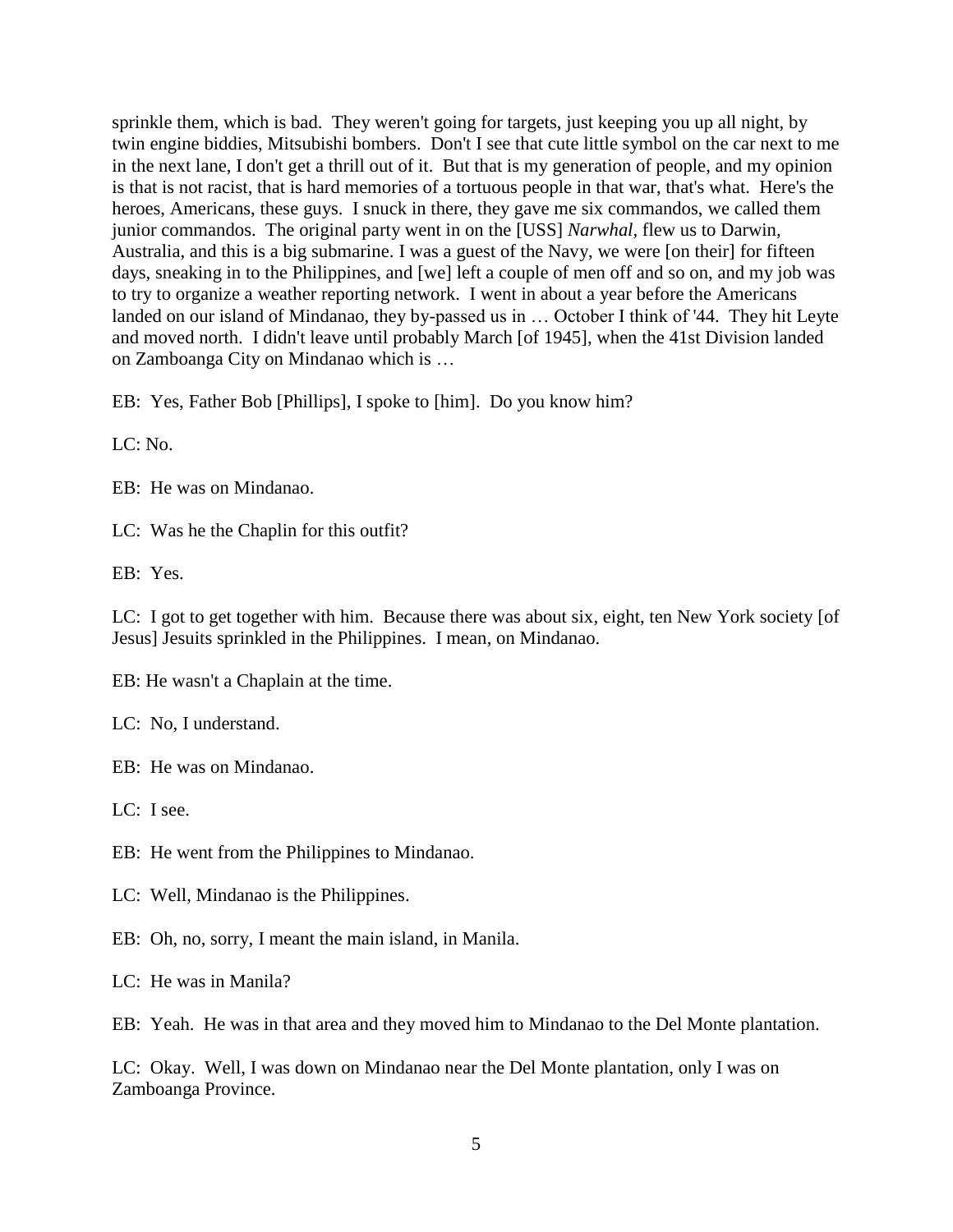sprinkle them, which is bad. They weren't going for targets, just keeping you up all night, by twin engine biddies, Mitsubishi bombers. Don't I see that cute little symbol on the car next to me in the next lane, I don't get a thrill out of it. But that is my generation of people, and my opinion is that is not racist, that is hard memories of a tortuous people in that war, that's what. Here's the heroes, Americans, these guys. I snuck in there, they gave me six commandos, we called them junior commandos. The original party went in on the [USS] *Narwhal,* flew us to Darwin, Australia, and this is a big submarine. I was a guest of the Navy, we were [on their] for fifteen days, sneaking in to the Philippines, and [we] left a couple of men off and so on, and my job was to try to organize a weather reporting network. I went in about a year before the Americans landed on our island of Mindanao, they by-passed us in … October I think of '44. They hit Leyte and moved north. I didn't leave until probably March [of 1945], when the 41st Division landed on Zamboanga City on Mindanao which is …

EB: Yes, Father Bob [Phillips], I spoke to [him]. Do you know him?

LC: No.

EB: He was on Mindanao.

LC: Was he the Chaplin for this outfit?

EB: Yes.

LC: I got to get together with him. Because there was about six, eight, ten New York society [of Jesus] Jesuits sprinkled in the Philippines. I mean, on Mindanao.

EB: He wasn't a Chaplain at the time.

LC: No, I understand.

EB: He was on Mindanao.

LC: I see.

EB: He went from the Philippines to Mindanao.

LC: Well, Mindanao is the Philippines.

EB: Oh, no, sorry, I meant the main island, in Manila.

LC: He was in Manila?

EB: Yeah. He was in that area and they moved him to Mindanao to the Del Monte plantation.

LC: Okay. Well, I was down on Mindanao near the Del Monte plantation, only I was on Zamboanga Province.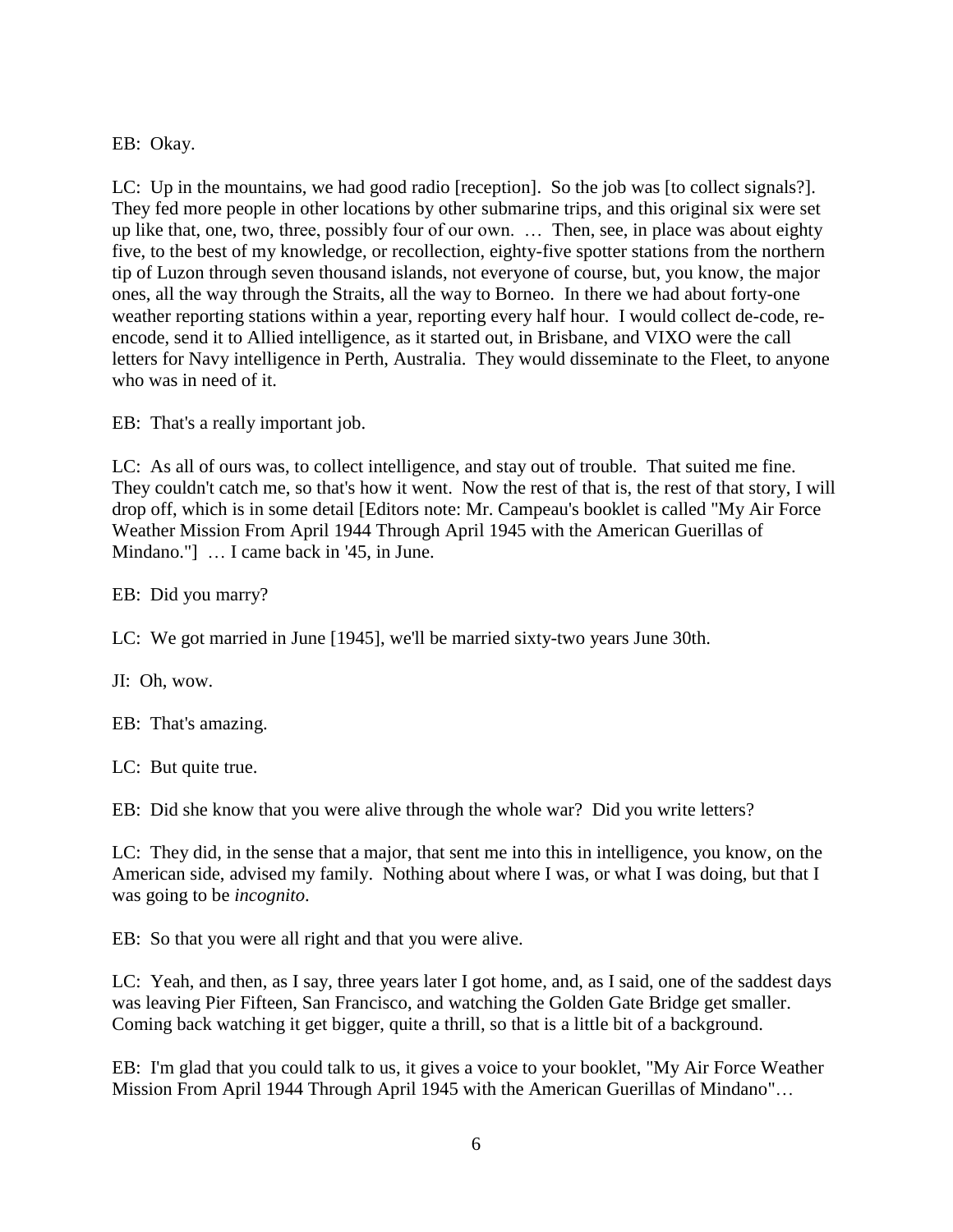EB: Okay.

LC: Up in the mountains, we had good radio [reception]. So the job was [to collect signals?]. They fed more people in other locations by other submarine trips, and this original six were set up like that, one, two, three, possibly four of our own. … Then, see, in place was about eighty five, to the best of my knowledge, or recollection, eighty-five spotter stations from the northern tip of Luzon through seven thousand islands, not everyone of course, but, you know, the major ones, all the way through the Straits, all the way to Borneo. In there we had about forty-one weather reporting stations within a year, reporting every half hour. I would collect de-code, reencode, send it to Allied intelligence, as it started out, in Brisbane, and VIXO were the call letters for Navy intelligence in Perth, Australia. They would disseminate to the Fleet, to anyone who was in need of it.

EB: That's a really important job.

LC: As all of ours was, to collect intelligence, and stay out of trouble. That suited me fine. They couldn't catch me, so that's how it went. Now the rest of that is, the rest of that story, I will drop off, which is in some detail [Editors note: Mr. Campeau's booklet is called "My Air Force Weather Mission From April 1944 Through April 1945 with the American Guerillas of Mindano."] … I came back in '45, in June.

EB: Did you marry?

LC: We got married in June [1945], we'll be married sixty-two years June 30th.

JI: Oh, wow.

EB: That's amazing.

LC: But quite true.

EB: Did she know that you were alive through the whole war? Did you write letters?

LC: They did, in the sense that a major, that sent me into this in intelligence, you know, on the American side, advised my family. Nothing about where I was, or what I was doing, but that I was going to be *incognito*.

EB: So that you were all right and that you were alive.

LC: Yeah, and then, as I say, three years later I got home, and, as I said, one of the saddest days was leaving Pier Fifteen, San Francisco, and watching the Golden Gate Bridge get smaller. Coming back watching it get bigger, quite a thrill, so that is a little bit of a background.

EB: I'm glad that you could talk to us, it gives a voice to your booklet, "My Air Force Weather Mission From April 1944 Through April 1945 with the American Guerillas of Mindano"…